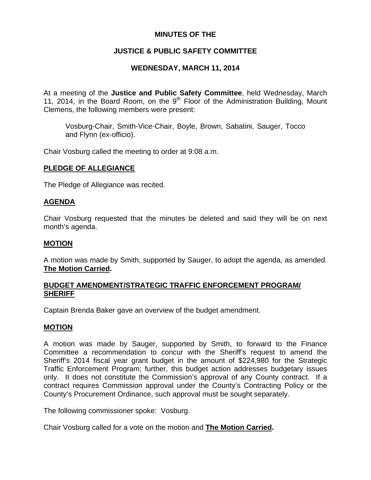# **MINUTES OF THE**

# **JUSTICE & PUBLIC SAFETY COMMITTEE**

# **WEDNESDAY, MARCH 11, 2014**

At a meeting of the **Justice and Public Safety Committee**, held Wednesday, March 11, 2014, in the Board Room, on the  $9<sup>th</sup>$  Floor of the Administration Building, Mount Clemens, the following members were present:

Vosburg-Chair, Smith-Vice-Chair, Boyle, Brown, Sabatini, Sauger, Tocco and Flynn (ex-officio).

Chair Vosburg called the meeting to order at 9:08 a.m.

### **PLEDGE OF ALLEGIANCE**

The Pledge of Allegiance was recited.

### **AGENDA**

Chair Vosburg requested that the minutes be deleted and said they will be on next month's agenda.

### **MOTION**

A motion was made by Smith, supported by Sauger, to adopt the agenda, as amended. **The Motion Carried.** 

### **BUDGET AMENDMENT/STRATEGIC TRAFFIC ENFORCEMENT PROGRAM/ SHERIFF**

Captain Brenda Baker gave an overview of the budget amendment.

### **MOTION**

A motion was made by Sauger, supported by Smith, to forward to the Finance Committee a recommendation to concur with the Sheriff's request to amend the Sheriff's 2014 fiscal year grant budget in the amount of \$224,980 for the Strategic Traffic Enforcement Program; further, this budget action addresses budgetary issues only. It does not constitute the Commission's approval of any County contract. If a contract requires Commission approval under the County's Contracting Policy or the County's Procurement Ordinance, such approval must be sought separately.

The following commissioner spoke: Vosburg.

Chair Vosburg called for a vote on the motion and **The Motion Carried.**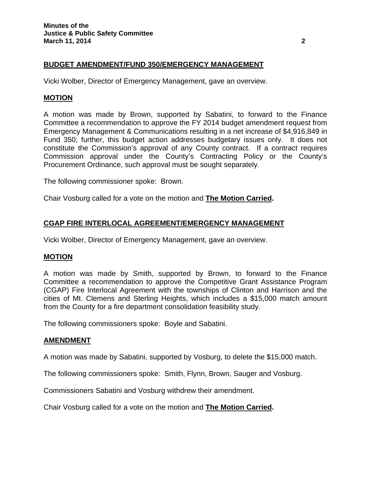### **BUDGET AMENDMENT/FUND 350/EMERGENCY MANAGEMENT**

Vicki Wolber, Director of Emergency Management, gave an overview.

### **MOTION**

A motion was made by Brown, supported by Sabatini, to forward to the Finance Committee a recommendation to approve the FY 2014 budget amendment request from Emergency Management & Communications resulting in a net increase of \$4,916,849 in Fund 350; further, this budget action addresses budgetary issues only. It does not constitute the Commission's approval of any County contract. If a contract requires Commission approval under the County's Contracting Policy or the County's Procurement Ordinance, such approval must be sought separately.

The following commissioner spoke: Brown.

Chair Vosburg called for a vote on the motion and **The Motion Carried.** 

### **CGAP FIRE INTERLOCAL AGREEMENT/EMERGENCY MANAGEMENT**

Vicki Wolber, Director of Emergency Management, gave an overview.

### **MOTION**

A motion was made by Smith, supported by Brown, to forward to the Finance Committee a recommendation to approve the Competitive Grant Assistance Program (CGAP) Fire Interlocal Agreement with the townships of Clinton and Harrison and the cities of Mt. Clemens and Sterling Heights, which includes a \$15,000 match amount from the County for a fire department consolidation feasibility study.

The following commissioners spoke: Boyle and Sabatini.

### **AMENDMENT**

A motion was made by Sabatini, supported by Vosburg, to delete the \$15,000 match.

The following commissioners spoke: Smith, Flynn, Brown, Sauger and Vosburg.

Commissioners Sabatini and Vosburg withdrew their amendment.

Chair Vosburg called for a vote on the motion and **The Motion Carried.**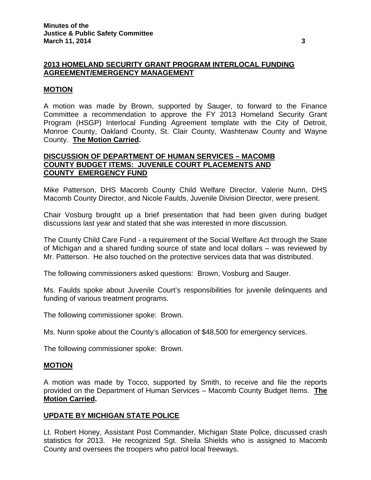# **2013 HOMELAND SECURITY GRANT PROGRAM INTERLOCAL FUNDING AGREEMENT/EMERGENCY MANAGEMENT**

### **MOTION**

A motion was made by Brown, supported by Sauger, to forward to the Finance Committee a recommendation to approve the FY 2013 Homeland Security Grant Program (HSGP) Interlocal Funding Agreement template with the City of Detroit, Monroe County, Oakland County, St. Clair County, Washtenaw County and Wayne County. **The Motion Carried.** 

### **DISCUSSION OF DEPARTMENT OF HUMAN SERVICES – MACOMB COUNTY BUDGET ITEMS: JUVENILE COURT PLACEMENTS AND COUNTY EMERGENCY FUND**

Mike Patterson, DHS Macomb County Child Welfare Director, Valerie Nunn, DHS Macomb County Director, and Nicole Faulds, Juvenile Division Director, were present.

Chair Vosburg brought up a brief presentation that had been given during budget discussions last year and stated that she was interested in more discussion.

The County Child Care Fund - a requirement of the Social Welfare Act through the State of Michigan and a shared funding source of state and local dollars – was reviewed by Mr. Patterson. He also touched on the protective services data that was distributed.

The following commissioners asked questions: Brown, Vosburg and Sauger.

Ms. Faulds spoke about Juvenile Court's responsibilities for juvenile delinquents and funding of various treatment programs.

The following commissioner spoke: Brown.

Ms. Nunn spoke about the County's allocation of \$48,500 for emergency services.

The following commissioner spoke: Brown.

### **MOTION**

A motion was made by Tocco, supported by Smith, to receive and file the reports provided on the Department of Human Services – Macomb County Budget Items. **The Motion Carried.** 

### **UPDATE BY MICHIGAN STATE POLICE**

Lt. Robert Honey, Assistant Post Commander, Michigan State Police, discussed crash statistics for 2013. He recognized Sgt. Sheila Shields who is assigned to Macomb County and oversees the troopers who patrol local freeways.